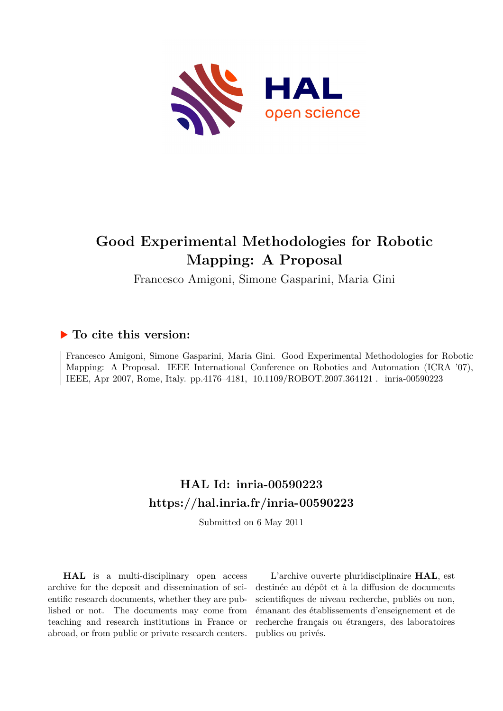

# **Good Experimental Methodologies for Robotic Mapping: A Proposal**

Francesco Amigoni, Simone Gasparini, Maria Gini

## **To cite this version:**

Francesco Amigoni, Simone Gasparini, Maria Gini. Good Experimental Methodologies for Robotic Mapping: A Proposal. IEEE International Conference on Robotics and Automation (ICRA '07), IEEE, Apr 2007, Rome, Italy. pp.4176-4181, 10.1109/ROBOT.2007.364121 . inria-00590223

## **HAL Id: inria-00590223 <https://hal.inria.fr/inria-00590223>**

Submitted on 6 May 2011

**HAL** is a multi-disciplinary open access archive for the deposit and dissemination of scientific research documents, whether they are published or not. The documents may come from teaching and research institutions in France or abroad, or from public or private research centers.

L'archive ouverte pluridisciplinaire **HAL**, est destinée au dépôt et à la diffusion de documents scientifiques de niveau recherche, publiés ou non, émanant des établissements d'enseignement et de recherche français ou étrangers, des laboratoires publics ou privés.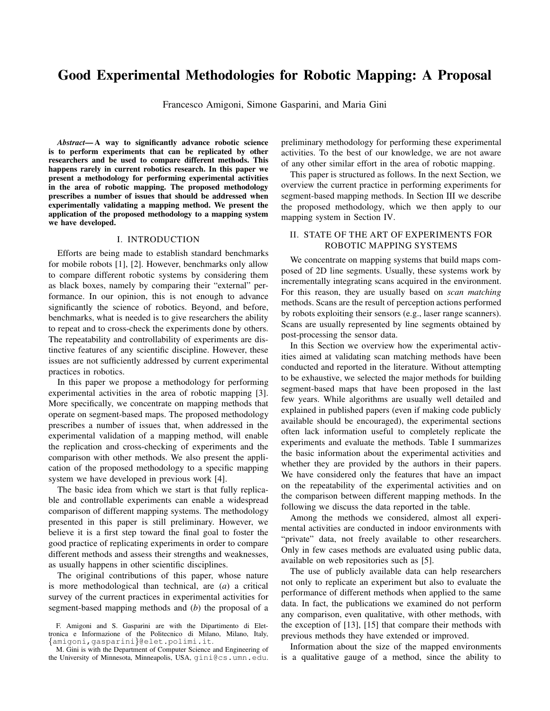## **Good Experimental Methodologies for Robotic Mapping: A Proposal**

Francesco Amigoni, Simone Gasparini, and Maria Gini

*Abstract***— A way to significantly advance robotic science is to perform experiments that can be replicated by other researchers and be used to compare different methods. This happens rarely in current robotics research. In this paper we present a methodology for performing experimental activities in the area of robotic mapping. The proposed methodology prescribes a number of issues that should be addressed when experimentally validating a mapping method. We present the application of the proposed methodology to a mapping system we have developed.**

#### I. INTRODUCTION

Efforts are being made to establish standard benchmarks for mobile robots [1], [2]. However, benchmarks only allow to compare different robotic systems by considering them as black boxes, namely by comparing their "external" performance. In our opinion, this is not enough to advance significantly the science of robotics. Beyond, and before, benchmarks, what is needed is to give researchers the ability to repeat and to cross-check the experiments done by others. The repeatability and controllability of experiments are distinctive features of any scientific discipline. However, these issues are not sufficiently addressed by current experimental practices in robotics.

In this paper we propose a methodology for performing experimental activities in the area of robotic mapping [3]. More specifically, we concentrate on mapping methods that operate on segment-based maps. The proposed methodology prescribes a number of issues that, when addressed in the experimental validation of a mapping method, will enable the replication and cross-checking of experiments and the comparison with other methods. We also present the application of the proposed methodology to a specific mapping system we have developed in previous work [4].

The basic idea from which we start is that fully replicable and controllable experiments can enable a widespread comparison of different mapping systems. The methodology presented in this paper is still preliminary. However, we believe it is a first step toward the final goal to foster the good practice of replicating experiments in order to compare different methods and assess their strengths and weaknesses, as usually happens in other scientific disciplines.

The original contributions of this paper, whose nature is more methodological than technical, are (*a*) a critical survey of the current practices in experimental activities for segment-based mapping methods and (*b*) the proposal of a preliminary methodology for performing these experimental activities. To the best of our knowledge, we are not aware of any other similar effort in the area of robotic mapping.

This paper is structured as follows. In the next Section, we overview the current practice in performing experiments for segment-based mapping methods. In Section III we describe the proposed methodology, which we then apply to our mapping system in Section IV.

#### II. STATE OF THE ART OF EXPERIMENTS FOR ROBOTIC MAPPING SYSTEMS

We concentrate on mapping systems that build maps composed of 2D line segments. Usually, these systems work by incrementally integrating scans acquired in the environment. For this reason, they are usually based on *scan matching* methods. Scans are the result of perception actions performed by robots exploiting their sensors (e.g., laser range scanners). Scans are usually represented by line segments obtained by post-processing the sensor data.

In this Section we overview how the experimental activities aimed at validating scan matching methods have been conducted and reported in the literature. Without attempting to be exhaustive, we selected the major methods for building segment-based maps that have been proposed in the last few years. While algorithms are usually well detailed and explained in published papers (even if making code publicly available should be encouraged), the experimental sections often lack information useful to completely replicate the experiments and evaluate the methods. Table I summarizes the basic information about the experimental activities and whether they are provided by the authors in their papers. We have considered only the features that have an impact on the repeatability of the experimental activities and on the comparison between different mapping methods. In the following we discuss the data reported in the table.

Among the methods we considered, almost all experimental activities are conducted in indoor environments with "private" data, not freely available to other researchers. Only in few cases methods are evaluated using public data, available on web repositories such as [5].

The use of publicly available data can help researchers not only to replicate an experiment but also to evaluate the performance of different methods when applied to the same data. In fact, the publications we examined do not perform any comparison, even qualitative, with other methods, with the exception of [13], [15] that compare their methods with previous methods they have extended or improved.

Information about the size of the mapped environments is a qualitative gauge of a method, since the ability to

F. Amigoni and S. Gasparini are with the Dipartimento di Elettronica e Informazione of the Politecnico di Milano, Milano, Italy, {amigoni,gasparini}@elet.polimi.it.

M. Gini is with the Department of Computer Science and Engineering of the University of Minnesota, Minneapolis, USA, gini@cs.umn.edu.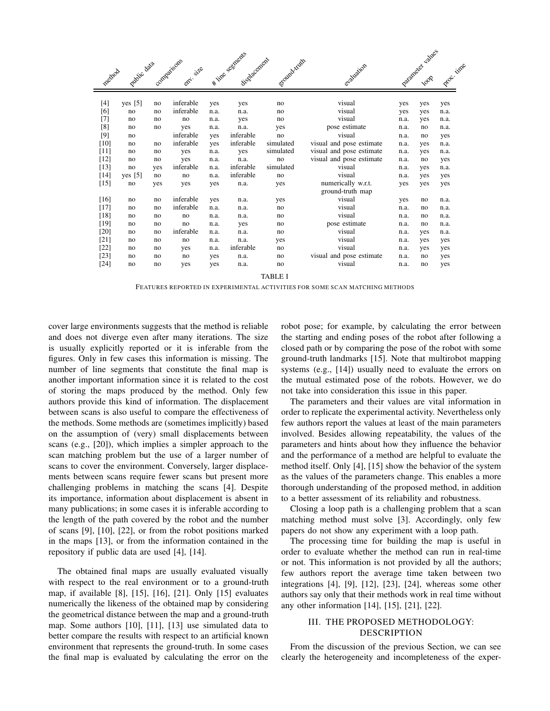| method       | Public data |     | comparisons<br>ony. Sile |      | * line sements<br>tispacement | Ecound-truth   | cyalluztion              |             | Paranecer values | proc.ime    |
|--------------|-------------|-----|--------------------------|------|-------------------------------|----------------|--------------------------|-------------|------------------|-------------|
|              | yes $[5]$   | no  | inferable                | yes  |                               | no             | visual                   |             |                  |             |
| $[4]$<br>[6] | no          | no  | inferable                | n.a. | yes<br>n.a.                   | no             | visual                   | yes         | yes              | yes<br>n.a. |
| $[7]$        | no          | no  | no                       | n.a. |                               | no             | visual                   | yes<br>n.a. | yes<br>yes       | n.a.        |
| [8]          |             | no  | yes                      | n.a. | yes<br>n.a.                   |                | pose estimate            | n.a.        | no               | n.a.        |
|              | no          |     | inferable                |      | inferable                     | yes<br>no      | visual                   | n.a.        |                  |             |
| $[9]$        | no          |     | inferable                | yes  | inferable                     | simulated      |                          |             | no               | yes         |
| $[10]$       | no          | no  |                          | yes  |                               | simulated      | visual and pose estimate | n.a.        | yes              | n.a.        |
| $[11]$       | no          | no  | yes                      | n.a. | yes                           |                | visual and pose estimate | n.a.        | yes              | n.a.        |
| $[12]$       | no          | no  | yes                      | n.a. | n.a.                          | no             | visual and pose estimate | n.a.        | no               | yes         |
| $[13]$       | no          | yes | inferable                | n.a. | inferable                     | simulated      | visual                   | n.a.        | yes              | n.a.        |
| $[14]$       | yes $[5]$   | no  | no                       | n.a. | inferable                     | no             | visual                   | n.a.        | yes              | yes         |
| $[15]$       | no          | yes | yes                      | yes  | n.a.                          | yes            | numerically w.r.t.       | yes         | yes              | yes         |
|              |             |     |                          |      |                               |                | ground-truth map         |             |                  |             |
| $[16]$       | no          | no  | inferable                | yes  | n.a.                          | yes            | visual                   | yes         | no               | n.a.        |
| $[17]$       | no          | no  | inferable                | n.a. | n.a.                          | no             | visual                   | n.a.        | no               | n.a.        |
| $[18]$       | no          | no  | no                       | n.a. | n.a.                          | no             | visual                   | n.a.        | no               | n.a.        |
| $[19]$       | no          | no  | no                       | n.a. | yes                           | no             | pose estimate            | n.a.        | no               | n.a.        |
| $[20]$       | no          | no  | inferable                | n.a. | n.a.                          | no             | visual                   | n.a.        | yes              | n.a.        |
| $[21]$       | no          | no  | no                       | n.a. | n.a.                          | yes            | visual                   | n.a.        | yes              | yes         |
| $[22]$       | no          | no  | yes                      | n.a. | inferable                     | no             | visual                   | n.a.        | yes              | yes         |
| $[23]$       | no          | no  | no                       | yes  | n.a.                          | no             | visual and pose estimate | n.a.        | no               | yes         |
| $[24]$       | no          | no  | yes                      | yes  | n.a.                          | no             | visual                   | n.a.        | no               | yes         |
|              |             |     |                          |      |                               | <b>TABLE I</b> |                          |             |                  |             |

FEATURES REPORTED IN EXPERIMENTAL ACTIVITIES FOR SOME SCAN MATCHING METHODS

cover large environments suggests that the method is reliable and does not diverge even after many iterations. The size is usually explicitly reported or it is inferable from the figures. Only in few cases this information is missing. The number of line segments that constitute the final map is another important information since it is related to the cost of storing the maps produced by the method. Only few authors provide this kind of information. The displacement between scans is also useful to compare the effectiveness of the methods. Some methods are (sometimes implicitly) based on the assumption of (very) small displacements between scans (e.g., [20]), which implies a simpler approach to the scan matching problem but the use of a larger number of scans to cover the environment. Conversely, larger displacements between scans require fewer scans but present more challenging problems in matching the scans [4]. Despite its importance, information about displacement is absent in many publications; in some cases it is inferable according to the length of the path covered by the robot and the number of scans [9], [10], [22], or from the robot positions marked in the maps [13], or from the information contained in the repository if public data are used [4], [14].

The obtained final maps are usually evaluated visually with respect to the real environment or to a ground-truth map, if available [8], [15], [16], [21]. Only [15] evaluates numerically the likeness of the obtained map by considering the geometrical distance between the map and a ground-truth map. Some authors [10], [11], [13] use simulated data to better compare the results with respect to an artificial known environment that represents the ground-truth. In some cases the final map is evaluated by calculating the error on the

robot pose; for example, by calculating the error between the starting and ending poses of the robot after following a closed path or by comparing the pose of the robot with some ground-truth landmarks [15]. Note that multirobot mapping systems (e.g., [14]) usually need to evaluate the errors on the mutual estimated pose of the robots. However, we do not take into consideration this issue in this paper.

The parameters and their values are vital information in order to replicate the experimental activity. Nevertheless only few authors report the values at least of the main parameters involved. Besides allowing repeatability, the values of the parameters and hints about how they influence the behavior and the performance of a method are helpful to evaluate the method itself. Only [4], [15] show the behavior of the system as the values of the parameters change. This enables a more thorough understanding of the proposed method, in addition to a better assessment of its reliability and robustness.

Closing a loop path is a challenging problem that a scan matching method must solve [3]. Accordingly, only few papers do not show any experiment with a loop path.

The processing time for building the map is useful in order to evaluate whether the method can run in real-time or not. This information is not provided by all the authors; few authors report the average time taken between two integrations [4], [9], [12], [23], [24], whereas some other authors say only that their methods work in real time without any other information [14], [15], [21], [22].

### III. THE PROPOSED METHODOLOGY: DESCRIPTION

From the discussion of the previous Section, we can see clearly the heterogeneity and incompleteness of the exper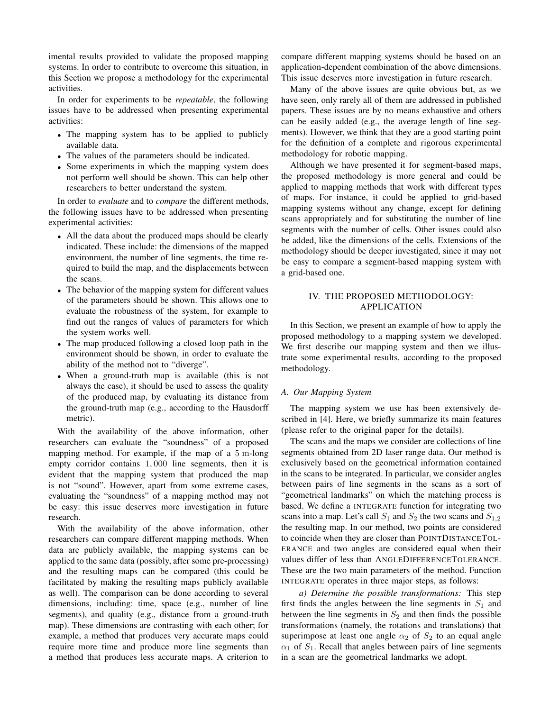imental results provided to validate the proposed mapping systems. In order to contribute to overcome this situation, in this Section we propose a methodology for the experimental activities.

In order for experiments to be *repeatable*, the following issues have to be addressed when presenting experimental activities:

- The mapping system has to be applied to publicly available data.
- The values of the parameters should be indicated.
- Some experiments in which the mapping system does not perform well should be shown. This can help other researchers to better understand the system.

In order to *evaluate* and to *compare* the different methods, the following issues have to be addressed when presenting experimental activities:

- All the data about the produced maps should be clearly indicated. These include: the dimensions of the mapped environment, the number of line segments, the time required to build the map, and the displacements between the scans.
- The behavior of the mapping system for different values of the parameters should be shown. This allows one to evaluate the robustness of the system, for example to find out the ranges of values of parameters for which the system works well.
- The map produced following a closed loop path in the environment should be shown, in order to evaluate the ability of the method not to "diverge".
- When a ground-truth map is available (this is not always the case), it should be used to assess the quality of the produced map, by evaluating its distance from the ground-truth map (e.g., according to the Hausdorff metric).

With the availability of the above information, other researchers can evaluate the "soundness" of a proposed mapping method. For example, if the map of a 5 m-long empty corridor contains 1, 000 line segments, then it is evident that the mapping system that produced the map is not "sound". However, apart from some extreme cases, evaluating the "soundness" of a mapping method may not be easy: this issue deserves more investigation in future research.

With the availability of the above information, other researchers can compare different mapping methods. When data are publicly available, the mapping systems can be applied to the same data (possibly, after some pre-processing) and the resulting maps can be compared (this could be facilitated by making the resulting maps publicly available as well). The comparison can be done according to several dimensions, including: time, space (e.g., number of line segments), and quality (e.g., distance from a ground-truth map). These dimensions are contrasting with each other; for example, a method that produces very accurate maps could require more time and produce more line segments than a method that produces less accurate maps. A criterion to

compare different mapping systems should be based on an application-dependent combination of the above dimensions. This issue deserves more investigation in future research.

Many of the above issues are quite obvious but, as we have seen, only rarely all of them are addressed in published papers. These issues are by no means exhaustive and others can be easily added (e.g., the average length of line segments). However, we think that they are a good starting point for the definition of a complete and rigorous experimental methodology for robotic mapping.

Although we have presented it for segment-based maps, the proposed methodology is more general and could be applied to mapping methods that work with different types of maps. For instance, it could be applied to grid-based mapping systems without any change, except for defining scans appropriately and for substituting the number of line segments with the number of cells. Other issues could also be added, like the dimensions of the cells. Extensions of the methodology should be deeper investigated, since it may not be easy to compare a segment-based mapping system with a grid-based one.

#### IV. THE PROPOSED METHODOLOGY: APPLICATION

In this Section, we present an example of how to apply the proposed methodology to a mapping system we developed. We first describe our mapping system and then we illustrate some experimental results, according to the proposed methodology.

#### *A. Our Mapping System*

The mapping system we use has been extensively described in [4]. Here, we briefly summarize its main features (please refer to the original paper for the details).

The scans and the maps we consider are collections of line segments obtained from 2D laser range data. Our method is exclusively based on the geometrical information contained in the scans to be integrated. In particular, we consider angles between pairs of line segments in the scans as a sort of "geometrical landmarks" on which the matching process is based. We define a INTEGRATE function for integrating two scans into a map. Let's call  $S_1$  and  $S_2$  the two scans and  $S_{1,2}$ the resulting map. In our method, two points are considered to coincide when they are closer than POINTDISTANCETOL-ERANCE and two angles are considered equal when their values differ of less than ANGLEDIFFERENCETOLERANCE. These are the two main parameters of the method. Function INTEGRATE operates in three major steps, as follows:

*a) Determine the possible transformations:* This step first finds the angles between the line segments in  $S_1$  and between the line segments in  $S_2$  and then finds the possible transformations (namely, the rotations and translations) that superimpose at least one angle  $\alpha_2$  of  $S_2$  to an equal angle  $\alpha_1$  of  $S_1$ . Recall that angles between pairs of line segments in a scan are the geometrical landmarks we adopt.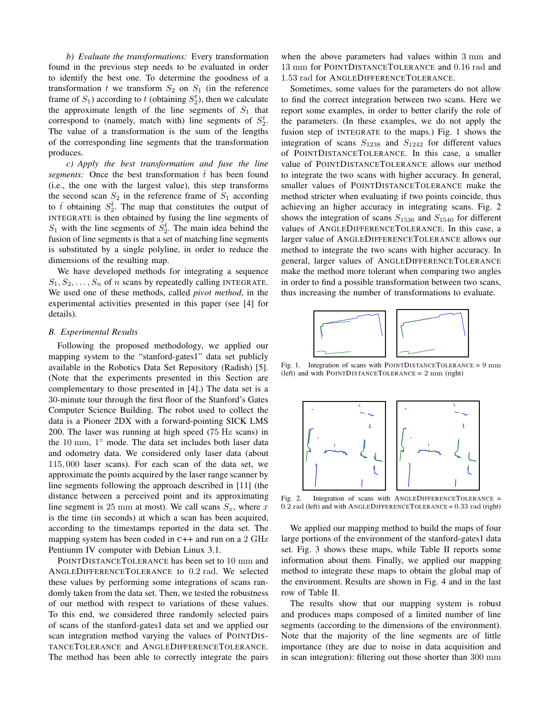*b) Evaluate the transformations:* Every transformation found in the previous step needs to be evaluated in order to identify the best one. To determine the goodness of a transformation t we transform  $S_2$  on  $S_1$  (in the reference frame of  $S_1$ ) according to t (obtaining  $S_2^t$ ), then we calculate the approximate length of the line segments of  $S_1$  that correspond to (namely, match with) line segments of  $S_2^t$ . The value of a transformation is the sum of the lengths of the corresponding line segments that the transformation produces.

*c) Apply the best transformation and fuse the line segments:* Once the best transformation  $t$  has been found (i.e., the one with the largest value), this step transforms the second scan  $S_2$  in the reference frame of  $S_1$  according to  $\bar{t}$  obtaining  $S_2^{\bar{t}}$ . The map that constitutes the output of INTEGRATE is then obtained by fusing the line segments of  $S_1$  with the line segments of  $S_2^{\bar{t}}$ . The main idea behind the fusion of line segments is that a set of matching line segments is substituted by a single polyline, in order to reduce the dimensions of the resulting map.

We have developed methods for integrating a sequence  $S_1, S_2, \ldots, S_n$  of n scans by repeatedly calling INTEGRATE. We used one of these methods, called *pivot method*, in the experimental activities presented in this paper (see [4] for details).

#### *B. Experimental Results*

Following the proposed methodology, we applied our mapping system to the "stanford-gates1" data set publicly available in the Robotics Data Set Repository (Radish) [5]. (Note that the experiments presented in this Section are complementary to those presented in [4].) The data set is a 30-minute tour through the first floor of the Stanford's Gates Computer Science Building. The robot used to collect the data is a Pioneer 2DX with a forward-pointing SICK LMS 200. The laser was running at high speed (75 Hz scans) in the 10 mm, 1° mode. The data set includes both laser data and odometry data. We considered only laser data (about 115, 000 laser scans). For each scan of the data set, we approximate the points acquired by the laser range scanner by line segments following the approach described in [11] (the distance between a perceived point and its approximating line segment is 25 mm at most). We call scans  $S_x$ , where x is the time (in seconds) at which a scan has been acquired, according to the timestamps reported in the data set. The mapping system has been coded in <sup>C</sup>++ and run on a 2 GHz Pentiunm IV computer with Debian Linux 3.1.

POINTDISTANCETOLERANCE has been set to 10 mm and ANGLEDIFFERENCETOLERANCE to 0.2 rad. We selected these values by performing some integrations of scans randomly taken from the data set. Then, we tested the robustness of our method with respect to variations of these values. To this end, we considered three randomly selected pairs of scans of the stanford-gates1 data set and we applied our scan integration method varying the values of POINTDIS-TANCETOLERANCE and ANGLEDIFFERENCETOLERANCE. The method has been able to correctly integrate the pairs

when the above parameters had values within 3 mm and 13 mm for POINTDISTANCETOLERANCE and 0.16 rad and 1.53 rad for ANGLEDIFFERENCETOLERANCE.

Sometimes, some values for the parameters do not allow to find the correct integration between two scans. Here we report some examples, in order to better clarify the role of the parameters. (In these examples, we do not apply the fusion step of INTEGRATE to the maps.) Fig. 1 shows the integration of scans  $S_{1238}$  and  $S_{1242}$  for different values of POINTDISTANCETOLERANCE. In this case, a smaller value of POINTDISTANCETOLERANCE allows our method to integrate the two scans with higher accuracy. In general, smaller values of POINTDISTANCETOLERANCE make the method stricter when evaluating if two points coincide, thus achieving an higher accuracy in integrating scans. Fig. 2 shows the integration of scans  $S_{1536}$  and  $S_{1540}$  for different values of ANGLEDIFFERENCETOLERANCE. In this case, a larger value of ANGLEDIFFERENCETOLERANCE allows our method to integrate the two scans with higher accuracy. In general, larger values of ANGLEDIFFERENCETOLERANCE make the method more tolerant when comparing two angles in order to find a possible transformation between two scans, thus increasing the number of transformations to evaluate.



Fig. 1. Integration of scans with POINTDISTANCETOLERANCE =  $9 \text{ mm}$ (left) and with POINTDISTANCETOLERANCE = 2 mm (right)



Fig. 2. Integration of scans with ANGLEDIFFERENCETOLERANCE = 0.2 rad (left) and with ANGLEDIFFERENCETOLERANCE = 0.33 rad (right)

We applied our mapping method to build the maps of four large portions of the environment of the stanford-gates1 data set. Fig. 3 shows these maps, while Table II reports some information about them. Finally, we applied our mapping method to integrate these maps to obtain the global map of the environment. Results are shown in Fig. 4 and in the last row of Table II.

The results show that our mapping system is robust and produces maps composed of a limited number of line segments (according to the dimensions of the environment). Note that the majority of the line segments are of little importance (they are due to noise in data acquisition and in scan integration): filtering out those shorter than 300 mm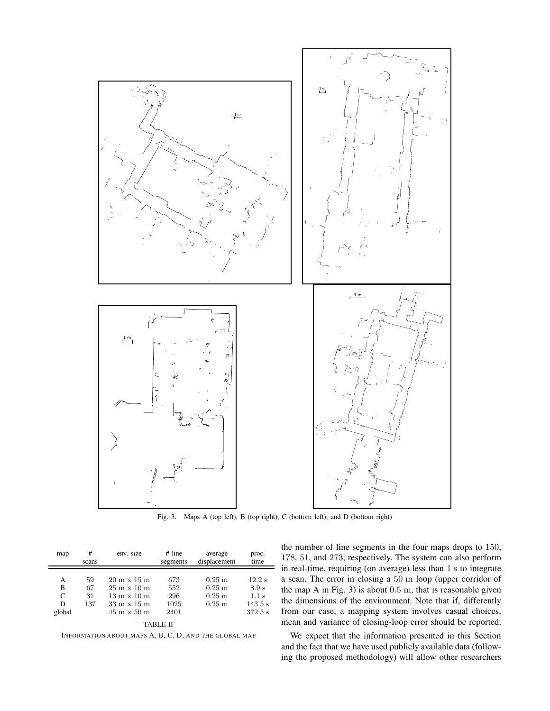

Fig. 3. Maps A (top left), B (top right), C (bottom left), and D (bottom right)

| map                        | #<br>scans            | env. size                                                                                                                                                                                  | # line<br>segments                | average<br>displacement                                                      | proc.<br>time                                      |
|----------------------------|-----------------------|--------------------------------------------------------------------------------------------------------------------------------------------------------------------------------------------|-----------------------------------|------------------------------------------------------------------------------|----------------------------------------------------|
| А<br>B<br>C<br>D<br>global | 59<br>67<br>31<br>137 | $20 \text{ m} \times 15 \text{ m}$<br>$25 \text{ m} \times 10 \text{ m}$<br>$13 \text{ m} \times 10 \text{ m}$<br>$33 \text{ m} \times 15 \text{ m}$<br>$45 \text{ m} \times 50 \text{ m}$ | 673<br>552<br>296<br>1025<br>2401 | $0.25 \text{ m}$<br>$0.25 \text{ m}$<br>$0.25 \text{ m}$<br>$0.25 \text{ m}$ | $12.2$ s<br>8.9 s<br>$1.1$ s<br>143.5 s<br>372.5 s |

TABLE II

INFORMATION ABOUT MAPS A, B, C, D, AND THE GLOBAL MAP

the number of line segments in the four maps drops to 150, 178, 51, and 273, respectively. The system can also perform  $\equiv$  in real-time, requiring (on average) less than 1 s to integrate a scan. The error in closing a 50 m loop (upper corridor of the map A in Fig. 3) is about 0.5 m, that is reasonable given the dimensions of the environment. Note that if, differently from our case, a mapping system involves casual choices, mean and variance of closing-loop error should be reported.

We expect that the information presented in this Section and the fact that we have used publicly available data (following the proposed methodology) will allow other researchers